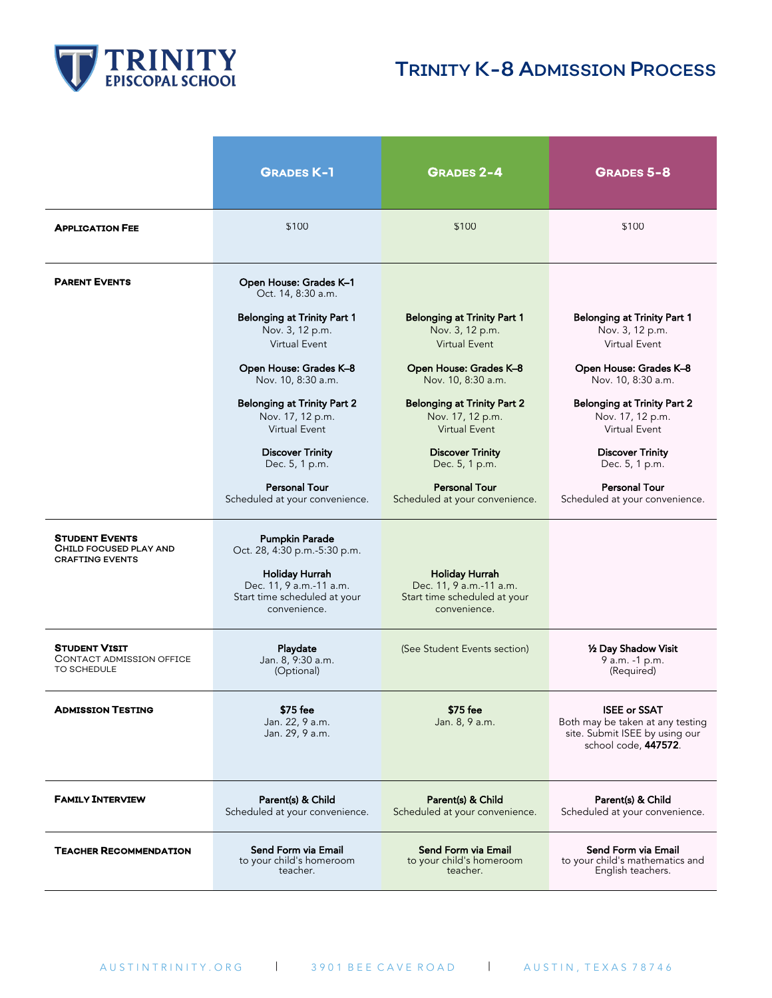

## TRINITY K-8 ADMISSION PROCESS

|                                                                           | <b>GRADES K-1</b>                                                                                                                                         | <b>GRADES 2-4</b>                                                                                | <b>GRADES 5-8</b>                                                                                                 |
|---------------------------------------------------------------------------|-----------------------------------------------------------------------------------------------------------------------------------------------------------|--------------------------------------------------------------------------------------------------|-------------------------------------------------------------------------------------------------------------------|
| <b>APPLICATION FEE</b>                                                    | \$100                                                                                                                                                     | \$100                                                                                            | \$100                                                                                                             |
| <b>PARENT EVENTS</b>                                                      | Open House: Grades K-1<br>Oct. 14, 8:30 a.m.                                                                                                              |                                                                                                  |                                                                                                                   |
|                                                                           | <b>Belonging at Trinity Part 1</b>                                                                                                                        | <b>Belonging at Trinity Part 1</b>                                                               | <b>Belonging at Trinity Part 1</b>                                                                                |
|                                                                           | Nov. 3, 12 p.m.                                                                                                                                           | Nov. 3, 12 p.m.                                                                                  | Nov. 3, 12 p.m.                                                                                                   |
|                                                                           | Virtual Event                                                                                                                                             | <b>Virtual Event</b>                                                                             | Virtual Event                                                                                                     |
|                                                                           | Open House: Grades K-8                                                                                                                                    | Open House: Grades K-8                                                                           | Open House: Grades K-8                                                                                            |
|                                                                           | Nov. 10, 8:30 a.m.                                                                                                                                        | Nov. 10, 8:30 a.m.                                                                               | Nov. 10, 8:30 a.m.                                                                                                |
|                                                                           | <b>Belonging at Trinity Part 2</b>                                                                                                                        | <b>Belonging at Trinity Part 2</b>                                                               | Belonging at Trinity Part 2                                                                                       |
|                                                                           | Nov. 17, 12 p.m.                                                                                                                                          | Nov. 17, 12 p.m.                                                                                 | Nov. 17, 12 p.m.                                                                                                  |
|                                                                           | Virtual Event                                                                                                                                             | <b>Virtual Event</b>                                                                             | Virtual Event                                                                                                     |
|                                                                           | <b>Discover Trinity</b>                                                                                                                                   | <b>Discover Trinity</b>                                                                          | <b>Discover Trinity</b>                                                                                           |
|                                                                           | Dec. 5, 1 p.m.                                                                                                                                            | Dec. 5, 1 p.m.                                                                                   | Dec. 5, 1 p.m.                                                                                                    |
|                                                                           | <b>Personal Tour</b>                                                                                                                                      | <b>Personal Tour</b>                                                                             | Personal Tour                                                                                                     |
|                                                                           | Scheduled at your convenience.                                                                                                                            | Scheduled at your convenience.                                                                   | Scheduled at your convenience.                                                                                    |
| <b>STUDENT EVENTS</b><br>CHILD FOCUSED PLAY AND<br><b>CRAFTING EVENTS</b> | <b>Pumpkin Parade</b><br>Oct. 28, 4:30 p.m.-5:30 p.m.<br><b>Holiday Hurrah</b><br>Dec. 11, 9 a.m.-11 a.m.<br>Start time scheduled at your<br>convenience. | <b>Holiday Hurrah</b><br>Dec. 11, 9 a.m.-11 a.m.<br>Start time scheduled at your<br>convenience. |                                                                                                                   |
| <b>STUDENT VISIT</b>                                                      | Playdate                                                                                                                                                  | (See Student Events section)                                                                     | 1/2 Day Shadow Visit                                                                                              |
| <b>CONTACT ADMISSION OFFICE</b>                                           | Jan. 8, 9:30 a.m.                                                                                                                                         |                                                                                                  | 9 a.m. -1 p.m.                                                                                                    |
| TO SCHEDULE                                                               | (Optional)                                                                                                                                                |                                                                                                  | (Required)                                                                                                        |
| <b>ADMISSION TESTING</b>                                                  | \$75 fee<br>Jan. 22, 9 a.m.<br>Jan. 29, 9 a.m.                                                                                                            | \$75 fee<br>Jan. 8, 9 a.m.                                                                       | <b>ISEE or SSAT</b><br>Both may be taken at any testing<br>site. Submit ISEE by using our<br>school code, 447572. |
| <b>FAMILY INTERVIEW</b>                                                   | Parent(s) & Child                                                                                                                                         | Parent(s) & Child                                                                                | Parent(s) & Child                                                                                                 |
|                                                                           | Scheduled at your convenience.                                                                                                                            | Scheduled at your convenience.                                                                   | Scheduled at your convenience.                                                                                    |
| <b>TEACHER RECOMMENDATION</b>                                             | Send Form via Email                                                                                                                                       | Send Form via Email                                                                              | Send Form via Email                                                                                               |
|                                                                           | to your child's homeroom                                                                                                                                  | to your child's homeroom                                                                         | to your child's mathematics and                                                                                   |
|                                                                           | teacher.                                                                                                                                                  | teacher.                                                                                         | English teachers.                                                                                                 |